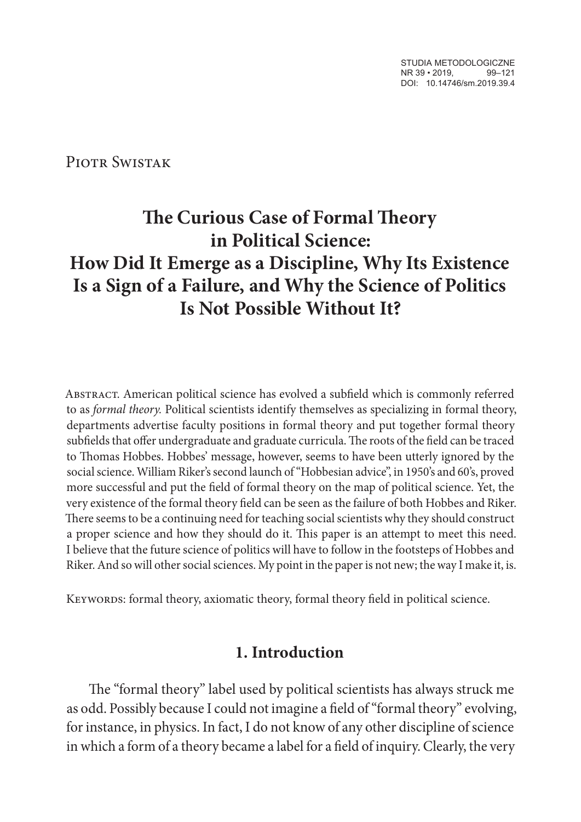STUDIA METODOLOGICZNE NR 39 · 2019. 99-121 DOI: 10.14746/sm.2019.39.4

Piotr Swistak

# **The Curious Case of Formal Theory in Political Science: How Did It Emerge as a Discipline, Why Its Existence Is a Sign of a Failure, and Why the Science of Politics Is Not Possible Without It?**

ABSTRACT. American political science has evolved a subfield which is commonly referred to as *formal theory.* Political scientists identify themselves as specializing in formal theory, departments advertise faculty positions in formal theory and put together formal theory subfields that offer undergraduate and graduate curricula. The roots of the field can be traced to Thomas Hobbes. Hobbes' message, however, seems to have been utterly ignored by the social science. William Riker's second launch of "Hobbesian advice", in 1950's and 60's, proved more successful and put the field of formal theory on the map of political science. Yet, the very existence of the formal theory field can be seen as the failure of both Hobbes and Riker. There seems to be a continuing need for teaching social scientists why they should construct a proper science and how they should do it. This paper is an attempt to meet this need. I believe that the future science of politics will have to follow in the footsteps of Hobbes and Riker. And so will other social sciences. My point in the paper is not new; the way I make it, is.

KEYWORDS: formal theory, axiomatic theory, formal theory field in political science.

### **1. Introduction**

The "formal theory" label used by political scientists has always struck me as odd. Possibly because I could not imagine a field of "formal theory" evolving, for instance, in physics. In fact, I do not know of any other discipline of science in which a form of a theory became a label for a field of inquiry. Clearly, the very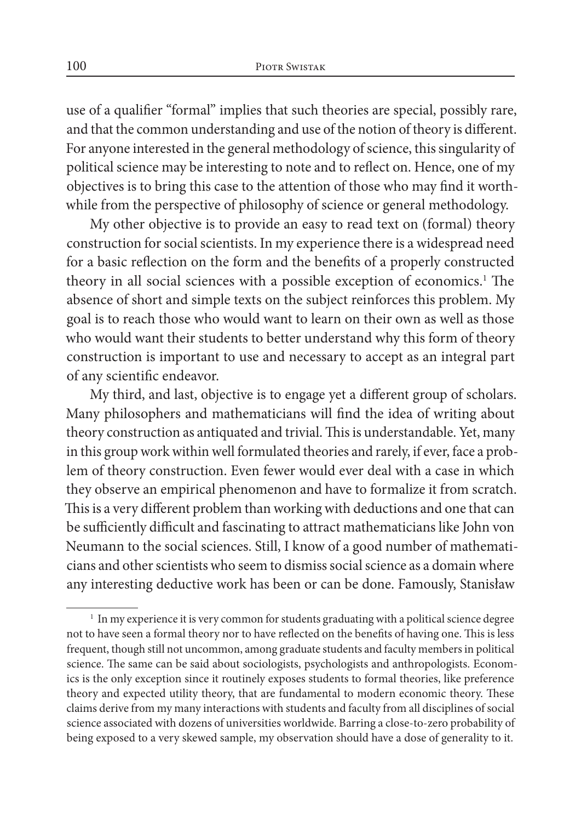use of a qualifier "formal" implies that such theories are special, possibly rare, and that the common understanding and use of the notion of theory is different. For anyone interested in the general methodology of science, this singularity of political science may be interesting to note and to reflect on. Hence, one of my objectives is to bring this case to the attention of those who may find it worthwhile from the perspective of philosophy of science or general methodology.

My other objective is to provide an easy to read text on (formal) theory construction for social scientists. In my experience there is a widespread need for a basic reflection on the form and the benefits of a properly constructed theory in all social sciences with a possible exception of economics.<sup>1</sup> The absence of short and simple texts on the subject reinforces this problem. My goal is to reach those who would want to learn on their own as well as those who would want their students to better understand why this form of theory construction is important to use and necessary to accept as an integral part of any scientific endeavor.

My third, and last, objective is to engage yet a different group of scholars. Many philosophers and mathematicians will find the idea of writing about theory construction as antiquated and trivial. This is understandable. Yet, many in this group work within well formulated theories and rarely, if ever, face a problem of theory construction. Even fewer would ever deal with a case in which they observe an empirical phenomenon and have to formalize it from scratch. This is a very different problem than working with deductions and one that can be sufficiently difficult and fascinating to attract mathematicians like John von Neumann to the social sciences. Still, I know of a good number of mathematicians and other scientists who seem to dismiss social science as a domain where any interesting deductive work has been or can be done. Famously, Stanisław

 $<sup>1</sup>$  In my experience it is very common for students graduating with a political science degree</sup> not to have seen a formal theory nor to have reflected on the benefits of having one. This is less frequent, though still not uncommon, among graduate students and faculty members in political science. The same can be said about sociologists, psychologists and anthropologists. Economics is the only exception since it routinely exposes students to formal theories, like preference theory and expected utility theory, that are fundamental to modern economic theory. These claims derive from my many interactions with students and faculty from all disciplines of social science associated with dozens of universities worldwide. Barring a close-to-zero probability of being exposed to a very skewed sample, my observation should have a dose of generality to it.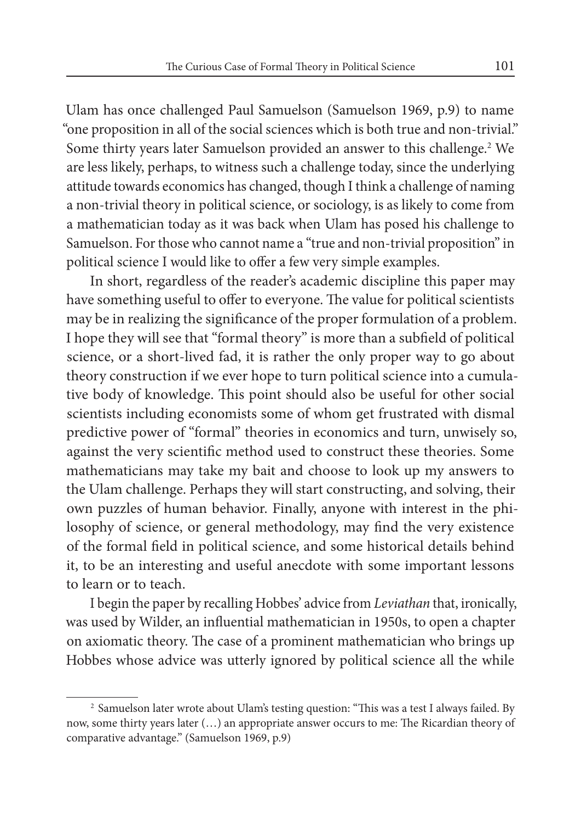Ulam has once challenged Paul Samuelson (Samuelson 1969, p.9) to name "one proposition in all of the social sciences which is both true and non-trivial." Some thirty years later Samuelson provided an answer to this challenge.2 We are less likely, perhaps, to witness such a challenge today, since the underlying attitude towards economics has changed, though I think a challenge of naming a non-trivial theory in political science, or sociology, is as likely to come from a mathematician today as it was back when Ulam has posed his challenge to Samuelson. For those who cannot name a "true and non-trivial proposition" in political science I would like to offer a few very simple examples.

In short, regardless of the reader's academic discipline this paper may have something useful to offer to everyone. The value for political scientists may be in realizing the significance of the proper formulation of a problem. I hope they will see that "formal theory" is more than a subfield of political science, or a short-lived fad, it is rather the only proper way to go about theory construction if we ever hope to turn political science into a cumulative body of knowledge. This point should also be useful for other social scientists including economists some of whom get frustrated with dismal predictive power of "formal" theories in economics and turn, unwisely so, against the very scientific method used to construct these theories. Some mathematicians may take my bait and choose to look up my answers to the Ulam challenge. Perhaps they will start constructing, and solving, their own puzzles of human behavior. Finally, anyone with interest in the philosophy of science, or general methodology, may find the very existence of the formal field in political science, and some historical details behind it, to be an interesting and useful anecdote with some important lessons to learn or to teach.

I begin the paper by recalling Hobbes' advice from *Leviathan* that, ironically, was used by Wilder, an influential mathematician in 1950s, to open a chapter on axiomatic theory. The case of a prominent mathematician who brings up Hobbes whose advice was utterly ignored by political science all the while

<sup>2</sup> Samuelson later wrote about Ulam's testing question: "This was a test I always failed. By now, some thirty years later (…) an appropriate answer occurs to me: The Ricardian theory of comparative advantage." (Samuelson 1969, p.9)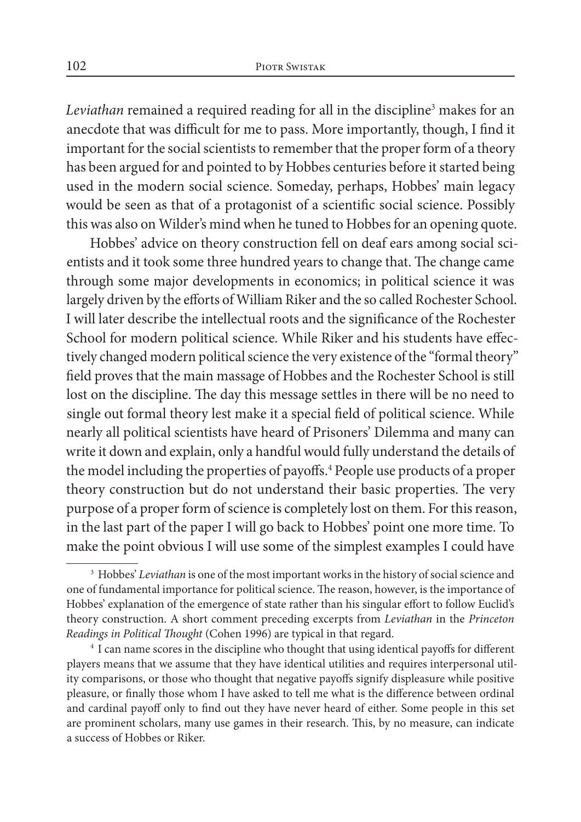*Leviathan* remained a required reading for all in the discipline3 makes for an anecdote that was difficult for me to pass. More importantly, though, I find it important for the social scientists to remember that the proper form of a theory has been argued for and pointed to by Hobbes centuries before it started being used in the modern social science. Someday, perhaps, Hobbes' main legacy would be seen as that of a protagonist of a scientific social science. Possibly this was also on Wilder's mind when he tuned to Hobbes for an opening quote.

Hobbes' advice on theory construction fell on deaf ears among social scientists and it took some three hundred years to change that. The change came through some major developments in economics; in political science it was largely driven by the efforts of William Riker and the so called Rochester School. I will later describe the intellectual roots and the significance of the Rochester School for modern political science. While Riker and his students have effectively changed modern political science the very existence of the "formal theory" field proves that the main massage of Hobbes and the Rochester School is still lost on the discipline. The day this message settles in there will be no need to single out formal theory lest make it a special field of political science. While nearly all political scientists have heard of Prisoners' Dilemma and many can write it down and explain, only a handful would fully understand the details of the model including the properties of payoffs.<sup>4</sup> People use products of a proper theory construction but do not understand their basic properties. The very purpose of a proper form of science is completely lost on them. For this reason, in the last part of the paper I will go back to Hobbes' point one more time. To make the point obvious I will use some of the simplest examples I could have

<sup>3</sup> Hobbes' *Leviathan* is one of the most important works in the history of social science and one of fundamental importance for political science. The reason, however, is the importance of Hobbes' explanation of the emergence of state rather than his singular effort to follow Euclid's theory construction. A short comment preceding excerpts from *Leviathan* in the *Princeton Readings in Political Thought* (Cohen 1996) are typical in that regard.

<sup>4</sup> I can name scores in the discipline who thought that using identical payoffs for different players means that we assume that they have identical utilities and requires interpersonal utility comparisons, or those who thought that negative payoffs signify displeasure while positive pleasure, or finally those whom I have asked to tell me what is the difference between ordinal and cardinal payoff only to find out they have never heard of either. Some people in this set are prominent scholars, many use games in their research. This, by no measure, can indicate a success of Hobbes or Riker.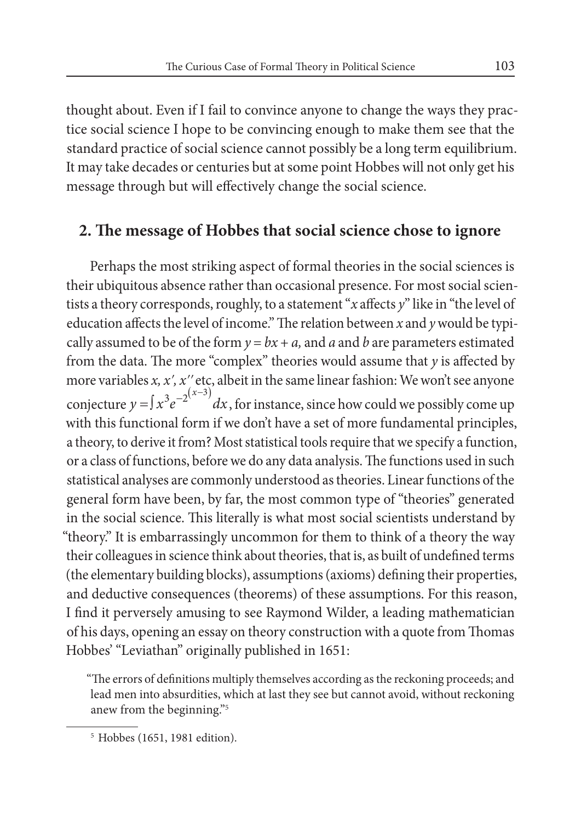thought about. Even if I fail to convince anyone to change the ways they practice social science I hope to be convincing enough to make them see that the standard practice of social science cannot possibly be a long term equilibrium. It may take decades or centuries but at some point Hobbes will not only get his message through but will effectively change the social science.

#### **2. The message of Hobbes that social science chose to ignore**

Perhaps the most striking aspect of formal theories in the social sciences is their ubiquitous absence rather than occasional presence. For most social scientists a theory corresponds, roughly, to a statement "*x* affects *y*" like in "the level of education affects the level of income." The relation between *x* and *y* would be typically assumed to be of the form  $y = bx + a$ , and *a* and *b* are parameters estimated from the data. The more "complex" theories would assume that *y* is affected by more variables *x, xʹ, xʹʹ* etc, albeit in the same linear fashion: We won't see anyone conjecture  $y = \int x^3 e^{-2(x-3)} dx$ , for instance, since how could we possibly come up with this functional form if we don't have a set of more fundamental principles, a theory, to derive it from? Most statistical tools require that we specify a function, or a class of functions, before we do any data analysis. The functions used in such statistical analyses are commonly understood as theories. Linear functions of the general form have been, by far, the most common type of "theories" generated in the social science. This literally is what most social scientists understand by "theory." It is embarrassingly uncommon for them to think of a theory the way their colleagues in science think about theories, that is, as built of undefined terms (the elementary building blocks), assumptions (axioms) defining their properties, and deductive consequences (theorems) of these assumptions. For this reason, I find it perversely amusing to see Raymond Wilder, a leading mathematician of his days, opening an essay on theory construction with a quote from Thomas Hobbes' "Leviathan" originally published in 1651:

"The errors of definitions multiply themselves according as the reckoning proceeds; and lead men into absurdities, which at last they see but cannot avoid, without reckoning anew from the beginning."5

<sup>5</sup> Hobbes (1651, 1981 edition).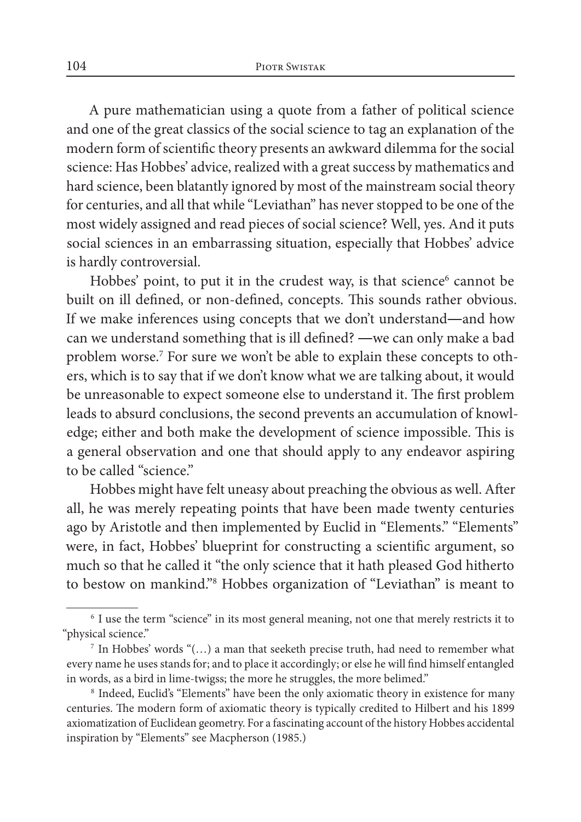A pure mathematician using a quote from a father of political science and one of the great classics of the social science to tag an explanation of the modern form of scientific theory presents an awkward dilemma for the social science: Has Hobbes' advice, realized with a great success by mathematics and hard science, been blatantly ignored by most of the mainstream social theory for centuries, and all that while "Leviathan" has never stopped to be one of the most widely assigned and read pieces of social science? Well, yes. And it puts social sciences in an embarrassing situation, especially that Hobbes' advice is hardly controversial.

Hobbes' point, to put it in the crudest way, is that science<sup>6</sup> cannot be built on ill defined, or non-defined, concepts. This sounds rather obvious. If we make inferences using concepts that we don't understand―and how can we understand something that is ill defined? ―we can only make a bad problem worse.<sup>7</sup> For sure we won't be able to explain these concepts to others, which is to say that if we don't know what we are talking about, it would be unreasonable to expect someone else to understand it. The first problem leads to absurd conclusions, the second prevents an accumulation of knowledge; either and both make the development of science impossible. This is a general observation and one that should apply to any endeavor aspiring to be called "science."

Hobbes might have felt uneasy about preaching the obvious as well. After all, he was merely repeating points that have been made twenty centuries ago by Aristotle and then implemented by Euclid in "Elements." "Elements" were, in fact, Hobbes' blueprint for constructing a scientific argument, so much so that he called it "the only science that it hath pleased God hitherto to bestow on mankind."8 Hobbes organization of "Leviathan" is meant to

<sup>6</sup> I use the term "science" in its most general meaning, not one that merely restricts it to "physical science." 7 In Hobbes' words "(…) a man that seeketh precise truth, had need to remember what

every name he uses stands for; and to place it accordingly; or else he will find himself entangled in words, as a bird in lime-twigss; the more he struggles, the more belimed."

<sup>8</sup> Indeed, Euclid's "Elements" have been the only axiomatic theory in existence for many centuries. The modern form of axiomatic theory is typically credited to Hilbert and his 1899 axiomatization of Euclidean geometry. For a fascinating account of the history Hobbes accidental inspiration by "Elements" see Macpherson (1985.)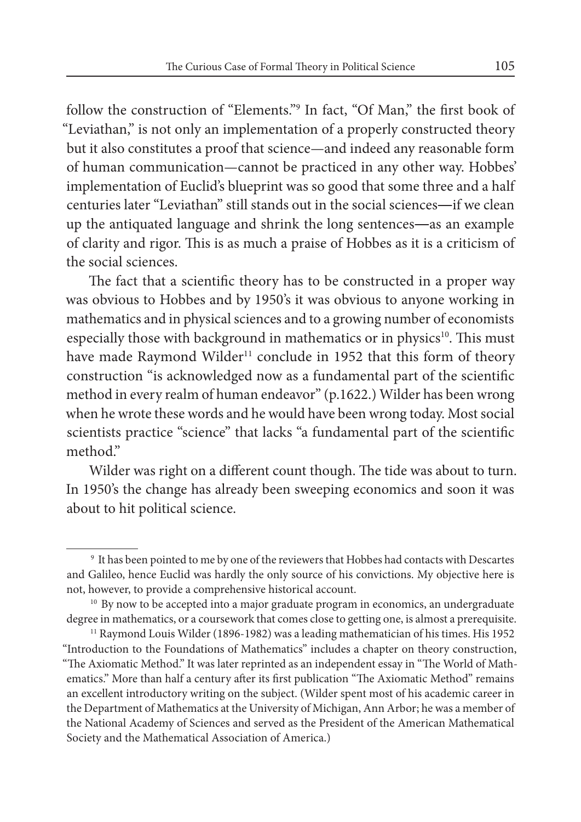follow the construction of "Elements."9 In fact, "Of Man," the first book of "Leviathan," is not only an implementation of a properly constructed theory but it also constitutes a proof that science—and indeed any reasonable form of human communication—cannot be practiced in any other way. Hobbes' implementation of Euclid's blueprint was so good that some three and a half centuries later "Leviathan" still stands out in the social sciences―if we clean up the antiquated language and shrink the long sentences―as an example of clarity and rigor. This is as much a praise of Hobbes as it is a criticism of the social sciences.

The fact that a scientific theory has to be constructed in a proper way was obvious to Hobbes and by 1950's it was obvious to anyone working in mathematics and in physical sciences and to a growing number of economists especially those with background in mathematics or in physics<sup>10</sup>. This must have made Raymond Wilder<sup>11</sup> conclude in 1952 that this form of theory construction "is acknowledged now as a fundamental part of the scientific method in every realm of human endeavor" (p.1622.) Wilder has been wrong when he wrote these words and he would have been wrong today. Most social scientists practice "science" that lacks "a fundamental part of the scientific method."

Wilder was right on a different count though. The tide was about to turn. In 1950's the change has already been sweeping economics and soon it was about to hit political science.

<sup>9</sup> It has been pointed to me by one of the reviewers that Hobbes had contacts with Descartes and Galileo, hence Euclid was hardly the only source of his convictions. My objective here is not, however, to provide a comprehensive historical account.

 $10\,$  By now to be accepted into a major graduate program in economics, an undergraduate degree in mathematics, or a coursework that comes close to getting one, is almost a prerequisite.

 $11$  Raymond Louis Wilder (1896-1982) was a leading mathematician of his times. His 1952 "Introduction to the Foundations of Mathematics" includes a chapter on theory construction, "The Axiomatic Method." It was later reprinted as an independent essay in "The World of Mathematics." More than half a century after its first publication "The Axiomatic Method" remains an excellent introductory writing on the subject. (Wilder spent most of his academic career in the Department of Mathematics at the University of Michigan, Ann Arbor; he was a member of the National Academy of Sciences and served as the President of the American Mathematical Society and the Mathematical Association of America.)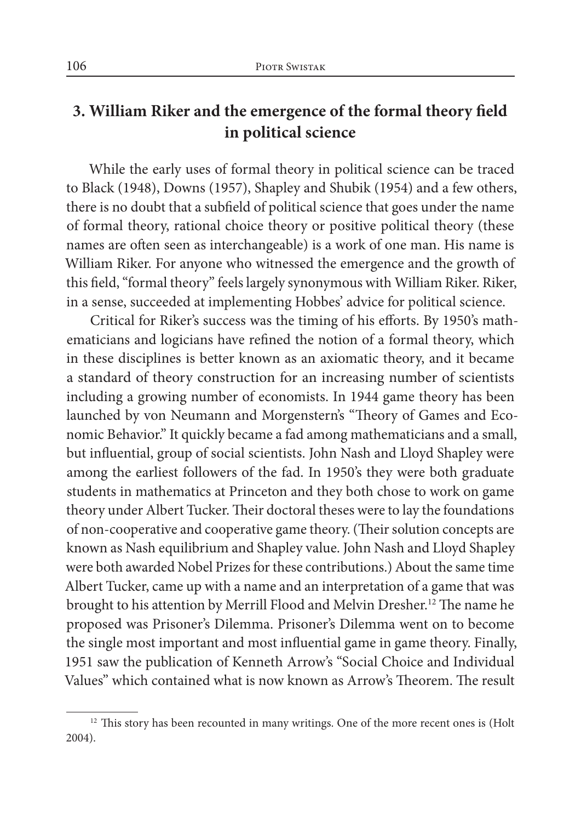# **3. William Riker and the emergence of the formal theory field in political science**

While the early uses of formal theory in political science can be traced to Black (1948), Downs (1957), Shapley and Shubik (1954) and a few others, there is no doubt that a subfield of political science that goes under the name of formal theory, rational choice theory or positive political theory (these names are often seen as interchangeable) is a work of one man. His name is William Riker. For anyone who witnessed the emergence and the growth of this field, "formal theory" feels largely synonymous with William Riker. Riker, in a sense, succeeded at implementing Hobbes' advice for political science.

Critical for Riker's success was the timing of his efforts. By 1950's mathematicians and logicians have refined the notion of a formal theory, which in these disciplines is better known as an axiomatic theory, and it became a standard of theory construction for an increasing number of scientists including a growing number of economists. In 1944 game theory has been launched by von Neumann and Morgenstern's "Theory of Games and Economic Behavior." It quickly became a fad among mathematicians and a small, but influential, group of social scientists. John Nash and Lloyd Shapley were among the earliest followers of the fad. In 1950's they were both graduate students in mathematics at Princeton and they both chose to work on game theory under Albert Tucker. Their doctoral theses were to lay the foundations of non-cooperative and cooperative game theory. (Their solution concepts are known as Nash equilibrium and Shapley value. John Nash and Lloyd Shapley were both awarded Nobel Prizes for these contributions.) About the same time Albert Tucker, came up with a name and an interpretation of a game that was brought to his attention by Merrill Flood and Melvin Dresher.<sup>12</sup> The name he proposed was Prisoner's Dilemma. Prisoner's Dilemma went on to become the single most important and most influential game in game theory. Finally, 1951 saw the publication of Kenneth Arrow's "Social Choice and Individual Values" which contained what is now known as Arrow's Theorem. The result

 $12$  This story has been recounted in many writings. One of the more recent ones is (Holt 2004).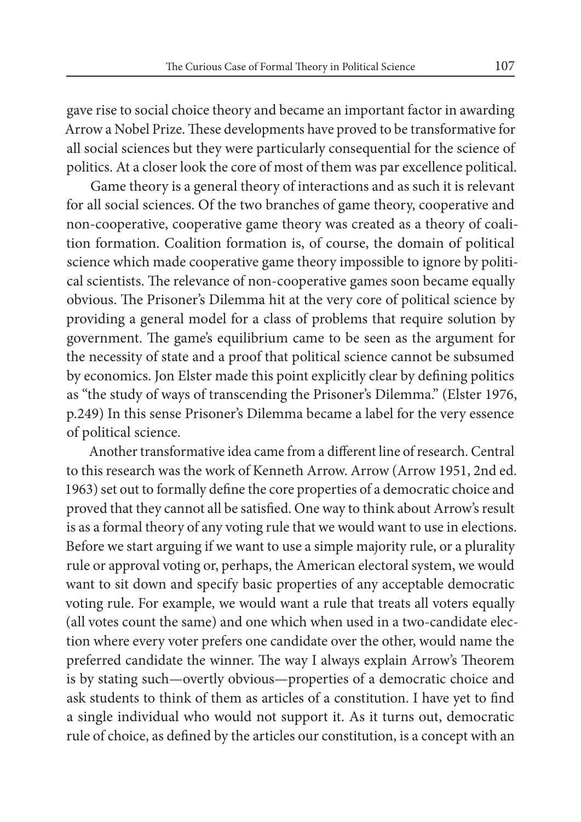gave rise to social choice theory and became an important factor in awarding Arrow a Nobel Prize. These developments have proved to be transformative for all social sciences but they were particularly consequential for the science of politics. At a closer look the core of most of them was par excellence political.

Game theory is a general theory of interactions and as such it is relevant for all social sciences. Of the two branches of game theory, cooperative and non-cooperative, cooperative game theory was created as a theory of coalition formation. Coalition formation is, of course, the domain of political science which made cooperative game theory impossible to ignore by political scientists. The relevance of non-cooperative games soon became equally obvious. The Prisoner's Dilemma hit at the very core of political science by providing a general model for a class of problems that require solution by government. The game's equilibrium came to be seen as the argument for the necessity of state and a proof that political science cannot be subsumed by economics. Jon Elster made this point explicitly clear by defining politics as "the study of ways of transcending the Prisoner's Dilemma." (Elster 1976, p.249) In this sense Prisoner's Dilemma became a label for the very essence of political science.

Another transformative idea came from a different line of research. Central to this research was the work of Kenneth Arrow. Arrow (Arrow 1951, 2nd ed. 1963) set out to formally define the core properties of a democratic choice and proved that they cannot all be satisfied. One way to think about Arrow's result is as a formal theory of any voting rule that we would want to use in elections. Before we start arguing if we want to use a simple majority rule, or a plurality rule or approval voting or, perhaps, the American electoral system, we would want to sit down and specify basic properties of any acceptable democratic voting rule. For example, we would want a rule that treats all voters equally (all votes count the same) and one which when used in a two-candidate election where every voter prefers one candidate over the other, would name the preferred candidate the winner. The way I always explain Arrow's Theorem is by stating such—overtly obvious—properties of a democratic choice and ask students to think of them as articles of a constitution. I have yet to find a single individual who would not support it. As it turns out, democratic rule of choice, as defined by the articles our constitution, is a concept with an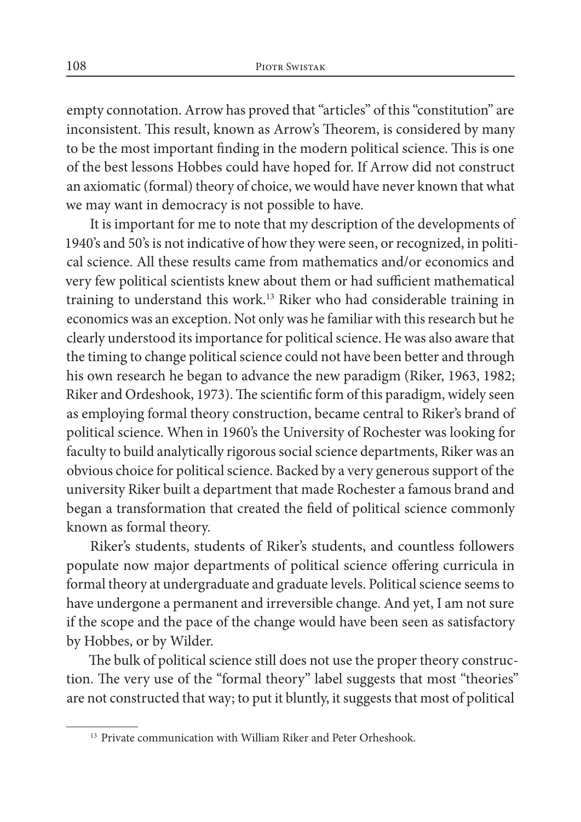empty connotation. Arrow has proved that "articles" of this "constitution" are inconsistent. This result, known as Arrow's Theorem, is considered by many to be the most important finding in the modern political science. This is one of the best lessons Hobbes could have hoped for. If Arrow did not construct an axiomatic (formal) theory of choice, we would have never known that what we may want in democracy is not possible to have.

It is important for me to note that my description of the developments of 1940's and 50's is not indicative of how they were seen, or recognized, in political science. All these results came from mathematics and/or economics and very few political scientists knew about them or had sufficient mathematical training to understand this work.13 Riker who had considerable training in economics was an exception. Not only was he familiar with this research but he clearly understood its importance for political science. He was also aware that the timing to change political science could not have been better and through his own research he began to advance the new paradigm (Riker, 1963, 1982; Riker and Ordeshook, 1973). The scientific form of this paradigm, widely seen as employing formal theory construction, became central to Riker's brand of political science. When in 1960's the University of Rochester was looking for faculty to build analytically rigorous social science departments, Riker was an obvious choice for political science. Backed by a very generous support of the university Riker built a department that made Rochester a famous brand and began a transformation that created the field of political science commonly known as formal theory.

Riker's students, students of Riker's students, and countless followers populate now major departments of political science offering curricula in formal theory at undergraduate and graduate levels. Political science seems to have undergone a permanent and irreversible change. And yet, I am not sure if the scope and the pace of the change would have been seen as satisfactory by Hobbes, or by Wilder.

The bulk of political science still does not use the proper theory construction. The very use of the "formal theory" label suggests that most "theories" are not constructed that way; to put it bluntly, it suggests that most of political

<sup>&</sup>lt;sup>13</sup> Private communication with William Riker and Peter Orheshook.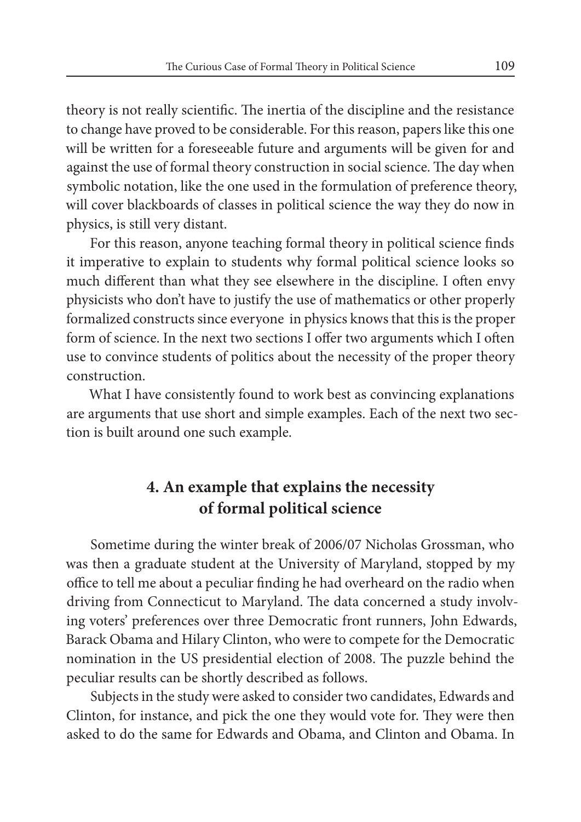theory is not really scientific. The inertia of the discipline and the resistance to change have proved to be considerable. For this reason, papers like this one will be written for a foreseeable future and arguments will be given for and against the use of formal theory construction in social science. The day when symbolic notation, like the one used in the formulation of preference theory, will cover blackboards of classes in political science the way they do now in physics, is still very distant.

For this reason, anyone teaching formal theory in political science finds it imperative to explain to students why formal political science looks so much different than what they see elsewhere in the discipline. I often envy physicists who don't have to justify the use of mathematics or other properly formalized constructs since everyone in physics knows that this is the proper form of science. In the next two sections I offer two arguments which I often use to convince students of politics about the necessity of the proper theory construction.

What I have consistently found to work best as convincing explanations are arguments that use short and simple examples. Each of the next two section is built around one such example.

# **4. An example that explains the necessity of formal political science**

Sometime during the winter break of 2006/07 Nicholas Grossman, who was then a graduate student at the University of Maryland, stopped by my office to tell me about a peculiar finding he had overheard on the radio when driving from Connecticut to Maryland. The data concerned a study involving voters' preferences over three Democratic front runners, John Edwards, Barack Obama and Hilary Clinton, who were to compete for the Democratic nomination in the US presidential election of 2008. The puzzle behind the peculiar results can be shortly described as follows.

Subjects in the study were asked to consider two candidates, Edwards and Clinton, for instance, and pick the one they would vote for. They were then asked to do the same for Edwards and Obama, and Clinton and Obama. In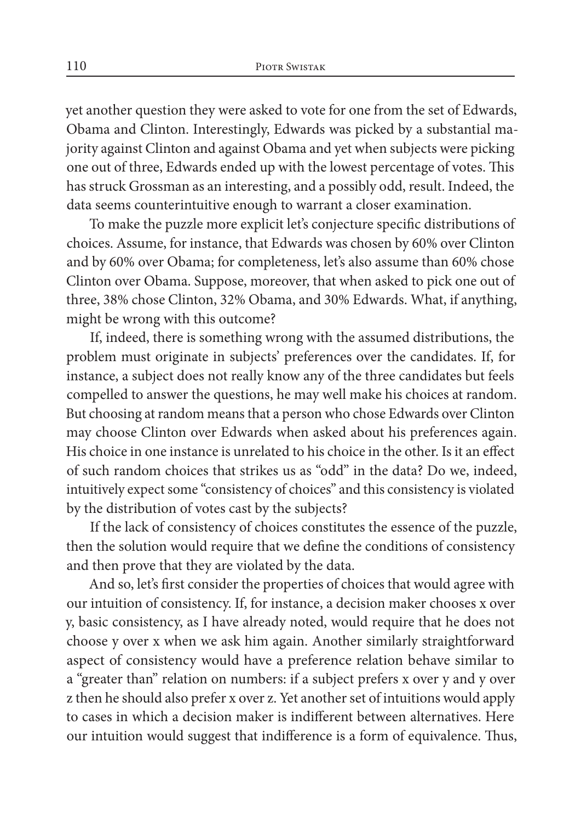yet another question they were asked to vote for one from the set of Edwards, Obama and Clinton. Interestingly, Edwards was picked by a substantial majority against Clinton and against Obama and yet when subjects were picking one out of three, Edwards ended up with the lowest percentage of votes. This has struck Grossman as an interesting, and a possibly odd, result. Indeed, the data seems counterintuitive enough to warrant a closer examination.

To make the puzzle more explicit let's conjecture specific distributions of choices. Assume, for instance, that Edwards was chosen by 60% over Clinton and by 60% over Obama; for completeness, let's also assume than 60% chose Clinton over Obama. Suppose, moreover, that when asked to pick one out of three, 38% chose Clinton, 32% Obama, and 30% Edwards. What, if anything, might be wrong with this outcome?

If, indeed, there is something wrong with the assumed distributions, the problem must originate in subjects' preferences over the candidates. If, for instance, a subject does not really know any of the three candidates but feels compelled to answer the questions, he may well make his choices at random. But choosing at random means that a person who chose Edwards over Clinton may choose Clinton over Edwards when asked about his preferences again. His choice in one instance is unrelated to his choice in the other. Is it an effect of such random choices that strikes us as "odd" in the data? Do we, indeed, intuitively expect some "consistency of choices" and this consistency is violated by the distribution of votes cast by the subjects?

If the lack of consistency of choices constitutes the essence of the puzzle, then the solution would require that we define the conditions of consistency and then prove that they are violated by the data.

And so, let's first consider the properties of choices that would agree with our intuition of consistency. If, for instance, a decision maker chooses x over y, basic consistency, as I have already noted, would require that he does not choose y over x when we ask him again. Another similarly straightforward aspect of consistency would have a preference relation behave similar to a "greater than" relation on numbers: if a subject prefers x over y and y over z then he should also prefer x over z. Yet another set of intuitions would apply to cases in which a decision maker is indifferent between alternatives. Here our intuition would suggest that indifference is a form of equivalence. Thus,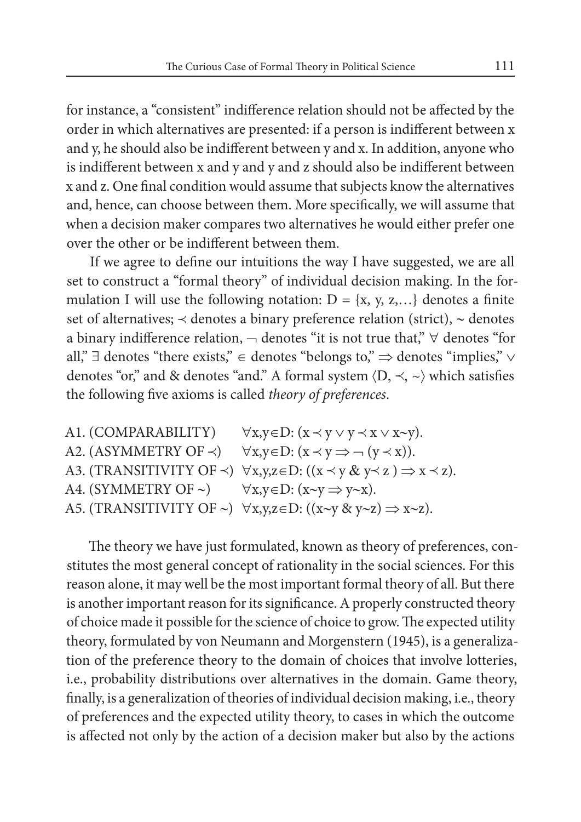for instance, a "consistent" indifference relation should not be affected by the order in which alternatives are presented: if a person is indifferent between x and y, he should also be indifferent between y and x. In addition, anyone who is indifferent between x and y and y and z should also be indifferent between x and z. One final condition would assume that subjects know the alternatives and, hence, can choose between them. More specifically, we will assume that when a decision maker compares two alternatives he would either prefer one over the other or be indifferent between them.

If we agree to define our intuitions the way I have suggested, we are all set to construct a "formal theory" of individual decision making. In the formulation I will use the following notation:  $D = \{x, y, z,...\}$  denotes a finite set of alternatives;  $\prec$  denotes a binary preference relation (strict),  $\sim$  denotes a binary indifference relation,  $\neg$  denotes "it is not true that,"  $\forall$  denotes "for all," ∃ denotes "there exists," ∈ denotes "belongs to," ⇒ denotes "implies," ∨ denotes "or," and & denotes "and." A formal system  $\langle D, \prec, \sim \rangle$  which satisfies the following five axioms is called *theory of preferences*.

A1. (COMPARABILITY)  $\forall x, y \in D$ :  $(x \prec y \lor y \prec x \lor x \sim y)$ . A2. (ASYMMETRY OF  $\prec$ )  $\forall x, y \in D$ :  $(x \prec y \Rightarrow \neg (y \prec x))$ . A3. (TRANSITIVITY OF  $\prec$ )  $\forall x,y,z \in D$ :  $((x \prec y \& y \prec z) \Rightarrow x \prec z)$ . A4. (SYMMETRY OF ∼)  $\forall x, y \in D$ : (x∼y ⇒ y∼x). A5. (TRANSITIVITY OF ∼)  $\forall x,y,z \in D$ : ((x∼y & y∼z) ⇒ x∼z).

The theory we have just formulated, known as theory of preferences, constitutes the most general concept of rationality in the social sciences. For this reason alone, it may well be the most important formal theory of all. But there is another important reason for its significance. A properly constructed theory of choice made it possible for the science of choice to grow. The expected utility theory, formulated by von Neumann and Morgenstern (1945), is a generalization of the preference theory to the domain of choices that involve lotteries, i.e., probability distributions over alternatives in the domain. Game theory, finally, is a generalization of theories of individual decision making, i.e., theory of preferences and the expected utility theory, to cases in which the outcome is affected not only by the action of a decision maker but also by the actions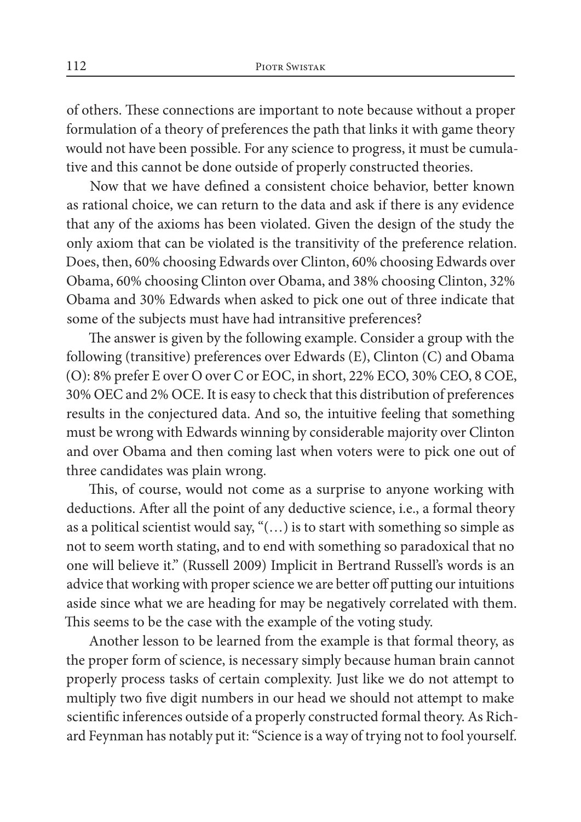of others. These connections are important to note because without a proper formulation of a theory of preferences the path that links it with game theory would not have been possible. For any science to progress, it must be cumulative and this cannot be done outside of properly constructed theories.

Now that we have defined a consistent choice behavior, better known as rational choice, we can return to the data and ask if there is any evidence that any of the axioms has been violated. Given the design of the study the only axiom that can be violated is the transitivity of the preference relation. Does, then, 60% choosing Edwards over Clinton, 60% choosing Edwards over Obama, 60% choosing Clinton over Obama, and 38% choosing Clinton, 32% Obama and 30% Edwards when asked to pick one out of three indicate that some of the subjects must have had intransitive preferences?

The answer is given by the following example. Consider a group with the following (transitive) preferences over Edwards (E), Clinton (C) and Obama (O): 8% prefer E over O over C or EOC, in short, 22% ECO, 30% CEO, 8 COE, 30% OEC and 2% OCE. It is easy to check that this distribution of preferences results in the conjectured data. And so, the intuitive feeling that something must be wrong with Edwards winning by considerable majority over Clinton and over Obama and then coming last when voters were to pick one out of three candidates was plain wrong.

This, of course, would not come as a surprise to anyone working with deductions. After all the point of any deductive science, i.e., a formal theory as a political scientist would say, "(…) is to start with something so simple as not to seem worth stating, and to end with something so paradoxical that no one will believe it." (Russell 2009) Implicit in Bertrand Russell's words is an advice that working with proper science we are better off putting our intuitions aside since what we are heading for may be negatively correlated with them. This seems to be the case with the example of the voting study.

Another lesson to be learned from the example is that formal theory, as the proper form of science, is necessary simply because human brain cannot properly process tasks of certain complexity. Just like we do not attempt to multiply two five digit numbers in our head we should not attempt to make scientific inferences outside of a properly constructed formal theory. As Richard Feynman has notably put it: "Science is a way of trying not to fool yourself.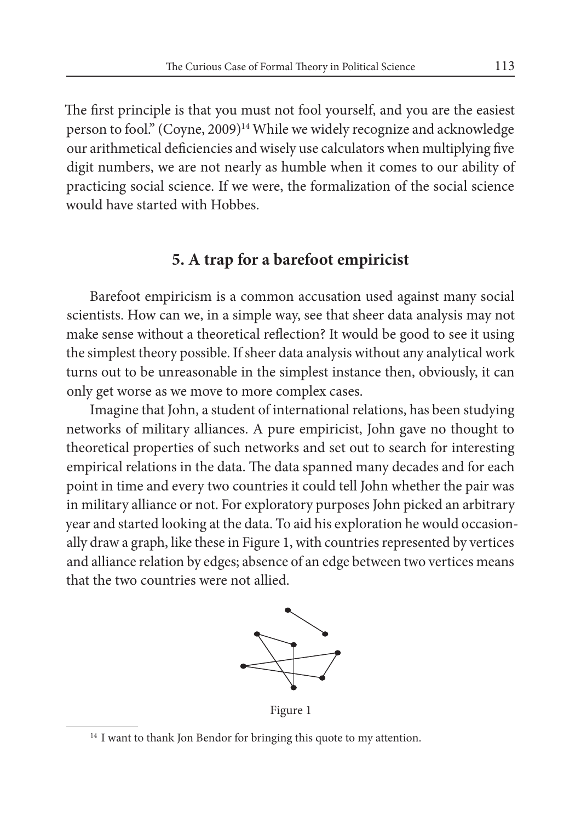The first principle is that you must not fool yourself, and you are the easiest person to fool." (Coyne, 2009)<sup>14</sup> While we widely recognize and acknowledge our arithmetical deficiencies and wisely use calculators when multiplying five digit numbers, we are not nearly as humble when it comes to our ability of practicing social science. If we were, the formalization of the social science would have started with Hobbes.

#### **5. A trap for a barefoot empiricist**

Barefoot empiricism is a common accusation used against many social scientists. How can we, in a simple way, see that sheer data analysis may not make sense without a theoretical reflection? It would be good to see it using the simplest theory possible. If sheer data analysis without any analytical work turns out to be unreasonable in the simplest instance then, obviously, it can only get worse as we move to more complex cases.

Imagine that John, a student of international relations, has been studying networks of military alliances. A pure empiricist, John gave no thought to theoretical properties of such networks and set out to search for interesting empirical relations in the data. The data spanned many decades and for each point in time and every two countries it could tell John whether the pair was in military alliance or not. For exploratory purposes John picked an arbitrary year and started looking at the data. To aid his exploration he would occasionally draw a graph, like these in Figure 1, with countries represented by vertices and alliance relation by edges; absence of an edge between two vertices means that the two countries were not allied.



Figure 1

<sup>&</sup>lt;sup>14</sup> I want to thank Ion Bendor for bringing this quote to my attention.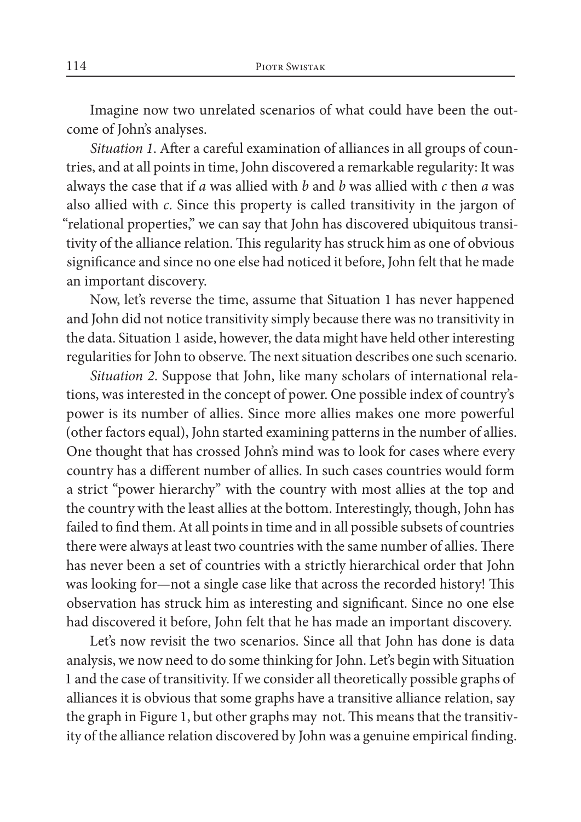Imagine now two unrelated scenarios of what could have been the outcome of John's analyses.

*Situation 1*. After a careful examination of alliances in all groups of countries, and at all points in time, John discovered a remarkable regularity: It was always the case that if *a* was allied with *b* and *b* was allied with *c* then *a* was also allied with *c*. Since this property is called transitivity in the jargon of "relational properties," we can say that John has discovered ubiquitous transitivity of the alliance relation. This regularity has struck him as one of obvious significance and since no one else had noticed it before, John felt that he made an important discovery.

Now, let's reverse the time, assume that Situation 1 has never happened and John did not notice transitivity simply because there was no transitivity in the data. Situation 1 aside, however, the data might have held other interesting regularities for John to observe. The next situation describes one such scenario.

*Situation 2*. Suppose that John, like many scholars of international relations, was interested in the concept of power. One possible index of country's power is its number of allies. Since more allies makes one more powerful (other factors equal), John started examining patterns in the number of allies. One thought that has crossed John's mind was to look for cases where every country has a different number of allies. In such cases countries would form a strict "power hierarchy" with the country with most allies at the top and the country with the least allies at the bottom. Interestingly, though, John has failed to find them. At all points in time and in all possible subsets of countries there were always at least two countries with the same number of allies. There has never been a set of countries with a strictly hierarchical order that John was looking for—not a single case like that across the recorded history! This observation has struck him as interesting and significant. Since no one else had discovered it before, John felt that he has made an important discovery.

Let's now revisit the two scenarios. Since all that John has done is data analysis, we now need to do some thinking for John. Let's begin with Situation 1 and the case of transitivity. If we consider all theoretically possible graphs of alliances it is obvious that some graphs have a transitive alliance relation, say the graph in Figure 1, but other graphs may not. This means that the transitivity of the alliance relation discovered by John was a genuine empirical finding.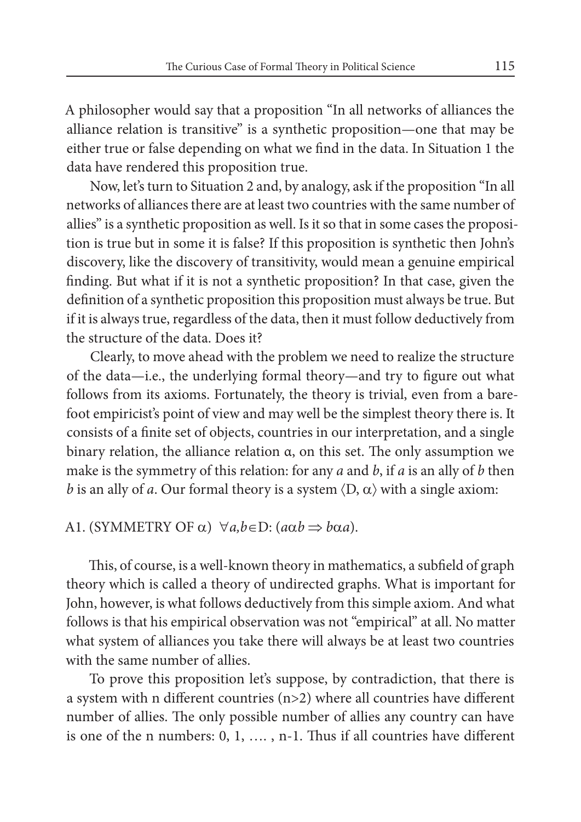A philosopher would say that a proposition "In all networks of alliances the alliance relation is transitive" is a synthetic proposition—one that may be either true or false depending on what we find in the data. In Situation 1 the data have rendered this proposition true.

Now, let's turn to Situation 2 and, by analogy, ask if the proposition "In all networks of alliances there are at least two countries with the same number of allies" is a synthetic proposition as well. Is it so that in some cases the proposition is true but in some it is false? If this proposition is synthetic then John's discovery, like the discovery of transitivity, would mean a genuine empirical finding. But what if it is not a synthetic proposition? In that case, given the definition of a synthetic proposition this proposition must always be true. But if it is always true, regardless of the data, then it must follow deductively from the structure of the data. Does it?

Clearly, to move ahead with the problem we need to realize the structure of the data—i.e., the underlying formal theory—and try to figure out what follows from its axioms. Fortunately, the theory is trivial, even from a barefoot empiricist's point of view and may well be the simplest theory there is. It consists of a finite set of objects, countries in our interpretation, and a single binary relation, the alliance relation α, on this set. The only assumption we make is the symmetry of this relation: for any *a* and *b*, if *a* is an ally of *b* then *b* is an ally of *a*. Our formal theory is a system  $\langle D, \alpha \rangle$  with a single axiom:

#### A1. (SYMMETRY OF  $\alpha$ )  $\forall a, b \in D$ : ( $a\alpha b \Rightarrow b\alpha a$ ).

This, of course, is a well-known theory in mathematics, a subfield of graph theory which is called a theory of undirected graphs. What is important for John, however, is what follows deductively from this simple axiom. And what follows is that his empirical observation was not "empirical" at all. No matter what system of alliances you take there will always be at least two countries with the same number of allies.

To prove this proposition let's suppose, by contradiction, that there is a system with n different countries (n>2) where all countries have different number of allies. The only possible number of allies any country can have is one of the n numbers: 0, 1, …. , n-1. Thus if all countries have different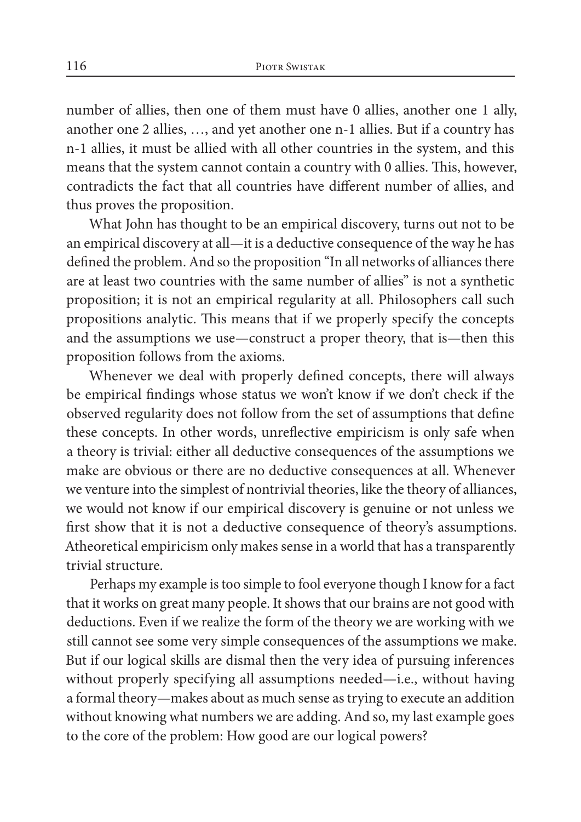number of allies, then one of them must have 0 allies, another one 1 ally, another one 2 allies, …, and yet another one n-1 allies. But if a country has n-1 allies, it must be allied with all other countries in the system, and this means that the system cannot contain a country with 0 allies. This, however, contradicts the fact that all countries have different number of allies, and thus proves the proposition.

What John has thought to be an empirical discovery, turns out not to be an empirical discovery at all—it is a deductive consequence of the way he has defined the problem. And so the proposition "In all networks of alliances there are at least two countries with the same number of allies" is not a synthetic proposition; it is not an empirical regularity at all. Philosophers call such propositions analytic. This means that if we properly specify the concepts and the assumptions we use—construct a proper theory, that is—then this proposition follows from the axioms.

Whenever we deal with properly defined concepts, there will always be empirical findings whose status we won't know if we don't check if the observed regularity does not follow from the set of assumptions that define these concepts. In other words, unreflective empiricism is only safe when a theory is trivial: either all deductive consequences of the assumptions we make are obvious or there are no deductive consequences at all. Whenever we venture into the simplest of nontrivial theories, like the theory of alliances, we would not know if our empirical discovery is genuine or not unless we first show that it is not a deductive consequence of theory's assumptions. Atheoretical empiricism only makes sense in a world that has a transparently trivial structure.

Perhaps my example is too simple to fool everyone though I know for a fact that it works on great many people. It shows that our brains are not good with deductions. Even if we realize the form of the theory we are working with we still cannot see some very simple consequences of the assumptions we make. But if our logical skills are dismal then the very idea of pursuing inferences without properly specifying all assumptions needed—i.e., without having a formal theory—makes about as much sense as trying to execute an addition without knowing what numbers we are adding. And so, my last example goes to the core of the problem: How good are our logical powers?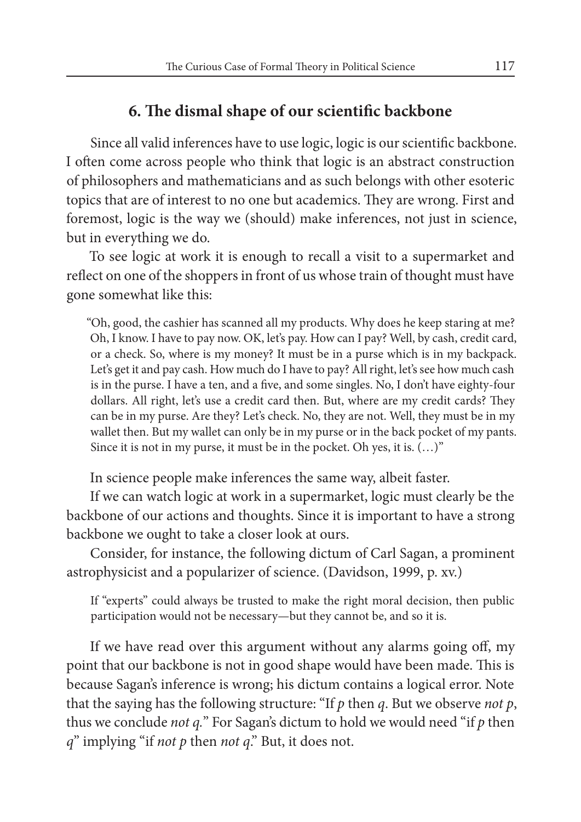## **6. The dismal shape of our scientific backbone**

Since all valid inferences have to use logic, logic is our scientific backbone. I often come across people who think that logic is an abstract construction of philosophers and mathematicians and as such belongs with other esoteric topics that are of interest to no one but academics. They are wrong. First and foremost, logic is the way we (should) make inferences, not just in science, but in everything we do.

To see logic at work it is enough to recall a visit to a supermarket and reflect on one of the shoppers in front of us whose train of thought must have gone somewhat like this:

"Oh, good, the cashier has scanned all my products. Why does he keep staring at me? Oh, I know. I have to pay now. OK, let's pay. How can I pay? Well, by cash, credit card, or a check. So, where is my money? It must be in a purse which is in my backpack. Let's get it and pay cash. How much do I have to pay? All right, let's see how much cash is in the purse. I have a ten, and a five, and some singles. No, I don't have eighty-four dollars. All right, let's use a credit card then. But, where are my credit cards? They can be in my purse. Are they? Let's check. No, they are not. Well, they must be in my wallet then. But my wallet can only be in my purse or in the back pocket of my pants. Since it is not in my purse, it must be in the pocket. Oh yes, it is. (…)"

In science people make inferences the same way, albeit faster.

If we can watch logic at work in a supermarket, logic must clearly be the backbone of our actions and thoughts. Since it is important to have a strong backbone we ought to take a closer look at ours.

Consider, for instance, the following dictum of Carl Sagan, a prominent astrophysicist and a popularizer of science. (Davidson, 1999, p. xv.)

If "experts" could always be trusted to make the right moral decision, then public participation would not be necessary—but they cannot be, and so it is.

If we have read over this argument without any alarms going off, my point that our backbone is not in good shape would have been made. This is because Sagan's inference is wrong; his dictum contains a logical error. Note that the saying has the following structure: "If *p* then *q*. But we observe *not p*, thus we conclude *not q.*" For Sagan's dictum to hold we would need "if *p* then *q*" implying "if *not p* then *not q*." But, it does not.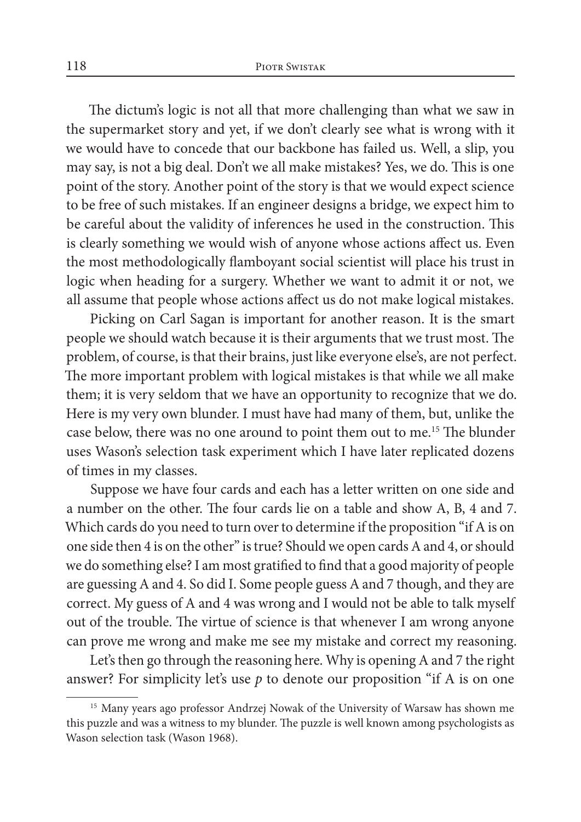The dictum's logic is not all that more challenging than what we saw in the supermarket story and yet, if we don't clearly see what is wrong with it we would have to concede that our backbone has failed us. Well, a slip, you may say, is not a big deal. Don't we all make mistakes? Yes, we do. This is one point of the story. Another point of the story is that we would expect science to be free of such mistakes. If an engineer designs a bridge, we expect him to be careful about the validity of inferences he used in the construction. This is clearly something we would wish of anyone whose actions affect us. Even the most methodologically flamboyant social scientist will place his trust in logic when heading for a surgery. Whether we want to admit it or not, we all assume that people whose actions affect us do not make logical mistakes.

Picking on Carl Sagan is important for another reason. It is the smart people we should watch because it is their arguments that we trust most. The problem, of course, is that their brains, just like everyone else's, are not perfect. The more important problem with logical mistakes is that while we all make them; it is very seldom that we have an opportunity to recognize that we do. Here is my very own blunder. I must have had many of them, but, unlike the case below, there was no one around to point them out to me.15 The blunder uses Wason's selection task experiment which I have later replicated dozens of times in my classes.

Suppose we have four cards and each has a letter written on one side and a number on the other. The four cards lie on a table and show A, B, 4 and 7. Which cards do you need to turn over to determine if the proposition "if A is on one side then 4 is on the other" is true? Should we open cards A and 4, or should we do something else? I am most gratified to find that a good majority of people are guessing A and 4. So did I. Some people guess A and 7 though, and they are correct. My guess of A and 4 was wrong and I would not be able to talk myself out of the trouble. The virtue of science is that whenever I am wrong anyone can prove me wrong and make me see my mistake and correct my reasoning.

Let's then go through the reasoning here. Why is opening A and 7 the right answer? For simplicity let's use *p* to denote our proposition "if A is on one

<sup>&</sup>lt;sup>15</sup> Many years ago professor Andrzej Nowak of the University of Warsaw has shown me this puzzle and was a witness to my blunder. The puzzle is well known among psychologists as Wason selection task (Wason 1968).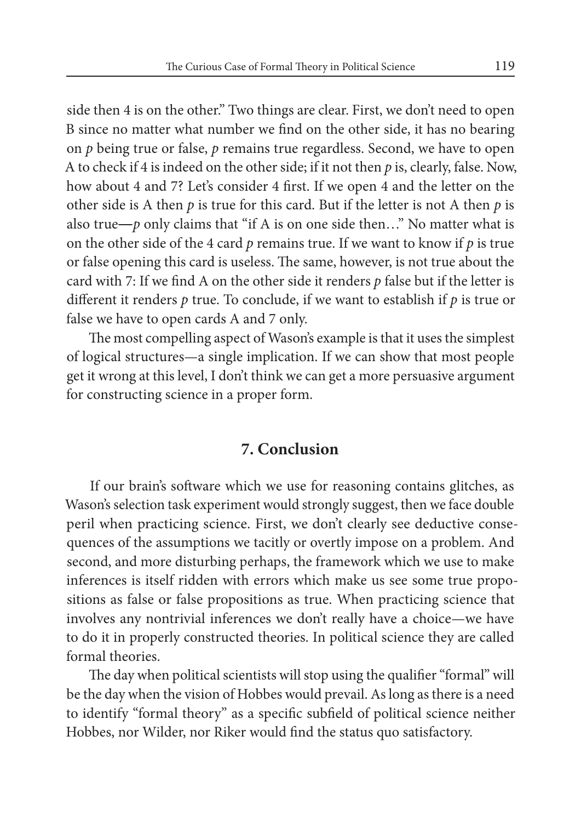side then 4 is on the other." Two things are clear. First, we don't need to open B since no matter what number we find on the other side, it has no bearing on *p* being true or false, *p* remains true regardless. Second, we have to open A to check if 4 is indeed on the other side; if it not then *p* is, clearly, false. Now, how about 4 and 7? Let's consider 4 first. If we open 4 and the letter on the other side is A then *p* is true for this card. But if the letter is not A then *p* is also true— $p$  only claims that "if A is on one side then..." No matter what is on the other side of the 4 card *p* remains true. If we want to know if *p* is true or false opening this card is useless. The same, however, is not true about the card with 7: If we find A on the other side it renders *p* false but if the letter is different it renders *p* true. To conclude, if we want to establish if *p* is true or false we have to open cards A and 7 only.

The most compelling aspect of Wason's example is that it uses the simplest of logical structures—a single implication. If we can show that most people get it wrong at this level, I don't think we can get a more persuasive argument for constructing science in a proper form.

#### **7. Conclusion**

If our brain's software which we use for reasoning contains glitches, as Wason's selection task experiment would strongly suggest, then we face double peril when practicing science. First, we don't clearly see deductive consequences of the assumptions we tacitly or overtly impose on a problem. And second, and more disturbing perhaps, the framework which we use to make inferences is itself ridden with errors which make us see some true propositions as false or false propositions as true. When practicing science that involves any nontrivial inferences we don't really have a choice—we have to do it in properly constructed theories. In political science they are called formal theories.

The day when political scientists will stop using the qualifier "formal" will be the day when the vision of Hobbes would prevail. As long as there is a need to identify "formal theory" as a specific subfield of political science neither Hobbes, nor Wilder, nor Riker would find the status quo satisfactory.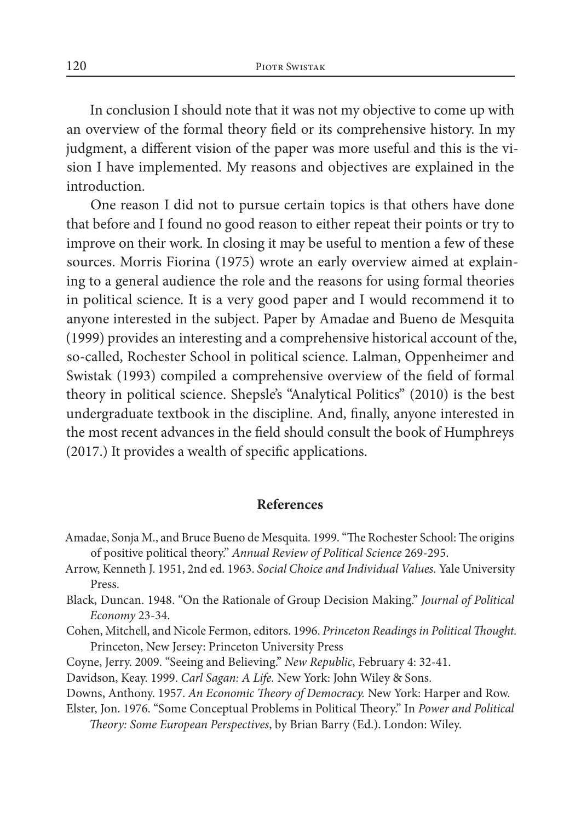In conclusion I should note that it was not my objective to come up with an overview of the formal theory field or its comprehensive history. In my judgment, a different vision of the paper was more useful and this is the vision I have implemented. My reasons and objectives are explained in the introduction.

One reason I did not to pursue certain topics is that others have done that before and I found no good reason to either repeat their points or try to improve on their work. In closing it may be useful to mention a few of these sources. Morris Fiorina (1975) wrote an early overview aimed at explaining to a general audience the role and the reasons for using formal theories in political science. It is a very good paper and I would recommend it to anyone interested in the subject. Paper by Amadae and Bueno de Mesquita (1999) provides an interesting and a comprehensive historical account of the, so-called, Rochester School in political science. Lalman, Oppenheimer and Swistak (1993) compiled a comprehensive overview of the field of formal theory in political science. Shepsle's "Analytical Politics" (2010) is the best undergraduate textbook in the discipline. And, finally, anyone interested in the most recent advances in the field should consult the book of Humphreys (2017.) It provides a wealth of specific applications.

#### **References**

- Amadae, Sonja M., and Bruce Bueno de Mesquita. 1999. "The Rochester School: The origins of positive political theory." *Annual Review of Political Science* 269-295.
- Arrow, Kenneth J. 1951, 2nd ed. 1963. *Social Choice and Individual Values.* Yale University Press.
- Black, Duncan. 1948. "On the Rationale of Group Decision Making." *Journal of Political Economy* 23-34.
- Cohen, Mitchell, and Nicole Fermon, editors. 1996. *Princeton Readings in Political Thought.* Princeton, New Jersey: Princeton University Press
- Coyne, Jerry. 2009. "Seeing and Believing." *New Republic*, February 4: 32-41.
- Davidson, Keay. 1999. *Carl Sagan: A Life.* New York: John Wiley & Sons.
- Downs, Anthony. 1957. *An Economic Theory of Democracy.* New York: Harper and Row.
- Elster, Jon. 1976. "Some Conceptual Problems in Political Theory." In *Power and Political Theory: Some European Perspectives*, by Brian Barry (Ed.). London: Wiley.